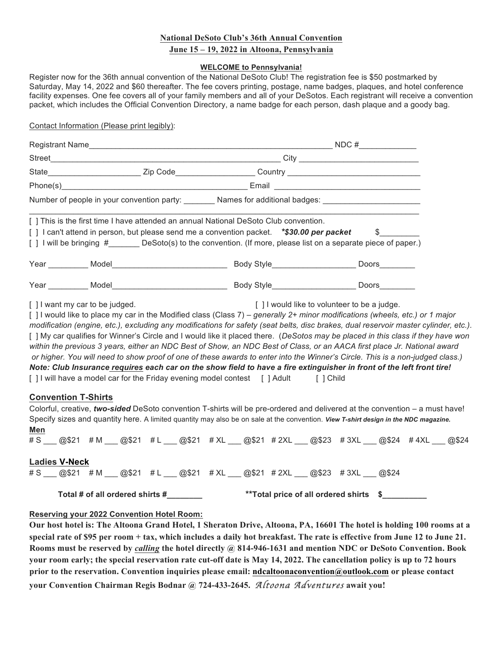# **National DeSoto Club's 36th Annual Convention**

# **June 15 – 19, 2022 in Altoona, Pennsylvania**

#### **WELCOME to Pennsylvania!**

Register now for the 36th annual convention of the National DeSoto Club! The registration fee is \$50 postmarked by Saturday, May 14, 2022 and \$60 thereafter. The fee covers printing, postage, name badges, plaques, and hotel conference facility expenses. One fee covers all of your family members and all of your DeSotos. Each registrant will receive a convention packet, which includes the Official Convention Directory, a name badge for each person, dash plaque and a goody bag.

Contact Information (Please print legibly):

| Registrant Name                                                                                                                                                                                                                                                                                |                  | NDC#                                                                                                |       |  |  |
|------------------------------------------------------------------------------------------------------------------------------------------------------------------------------------------------------------------------------------------------------------------------------------------------|------------------|-----------------------------------------------------------------------------------------------------|-------|--|--|
|                                                                                                                                                                                                                                                                                                |                  |                                                                                                     |       |  |  |
|                                                                                                                                                                                                                                                                                                |                  | State__________________________Zip Code____________________Country ________________________________ |       |  |  |
|                                                                                                                                                                                                                                                                                                |                  |                                                                                                     |       |  |  |
|                                                                                                                                                                                                                                                                                                |                  | Number of people in your convention party: Names for additional badges:                             |       |  |  |
| [ ] This is the first time I have attended an annual National DeSoto Club convention.<br>[] I can't attend in person, but please send me a convention packet. *\$30.00 per packet<br>[] I will be bringing # DeSoto(s) to the convention. (If more, please list on a separate piece of paper.) |                  |                                                                                                     |       |  |  |
|                                                                                                                                                                                                                                                                                                | Year Model Model |                                                                                                     | Doors |  |  |
|                                                                                                                                                                                                                                                                                                | Year Model Model | Body Style_______________________                                                                   | Doors |  |  |

[ ] I want my car to be judged.  $\blacksquare$ 

[ ] I would like to place my car in the Modified class (Class 7) *– generally 2+ minor modifications (wheels, etc.) or 1 major modification (engine, etc.), excluding any modifications for safety (seat belts, disc brakes, dual reservoir master cylinder, etc.).* [ ] My car qualifies for Winner's Circle and I would like it placed there. (*DeSotos may be placed in this class if they have won within the previous 3 years, either an NDC Best of Show, an NDC Best of Class, or an AACA first place Jr. National award or higher. You will need to show proof of one of these awards to enter into the Winner's Circle. This is a non-judged class.) Note: Club Insurance requires each car on the show field to have a fire extinguisher in front of the left front tire!* [ ] I will have a model car for the Friday evening model contest [ ] Adult [ ] Child

## **Convention T-Shirts**

Colorful, creative, *two-sided* DeSoto convention T-shirts will be pre-ordered and delivered at the convention – a must have! Specify sizes and quantity here. A limited quantity may also be on sale at the convention. *View T-shirt design in the NDC magazine.* **Men**

| Total # of all ordered shirts # | <b>**Total price of all ordered shirts</b> \$       |                     |
|---------------------------------|-----------------------------------------------------|---------------------|
| $# S$ @\\$21 #M                 | @\$21 #L @\$21 #XL @\$21 #2XL                       | @\$23 #3XL<br>@\$24 |
| <b>Ladies V-Neck</b>            |                                                     |                     |
| # $S$<br>@\$21 #M               | @\$21 #L @\$21 #XL @\$21 #2XL @\$23 #3XL @\$24 #4XL | @\$24               |

## **Reserving your 2022 Convention Hotel Room:**

**Our host hotel is: The Altoona Grand Hotel, 1 Sheraton Drive, Altoona, PA, 16601 The hotel is holding 100 rooms at a special rate of \$95 per room + tax, which includes a daily hot breakfast. The rate is effective from June 12 to June 21. Rooms must be reserved by** *calling* **the hotel directly @ 814-946-1631 and mention NDC or DeSoto Convention. Book your room early; the special reservation rate cut-off date is May 14, 2022. The cancellation policy is up to 72 hours prior to the reservation. Convention inquiries please email: ndcaltoonaconvention@outlook.com or please contact your Convention Chairman Regis Bodnar @ 724-433-2645.** *Altoona Adventures* **await you!**